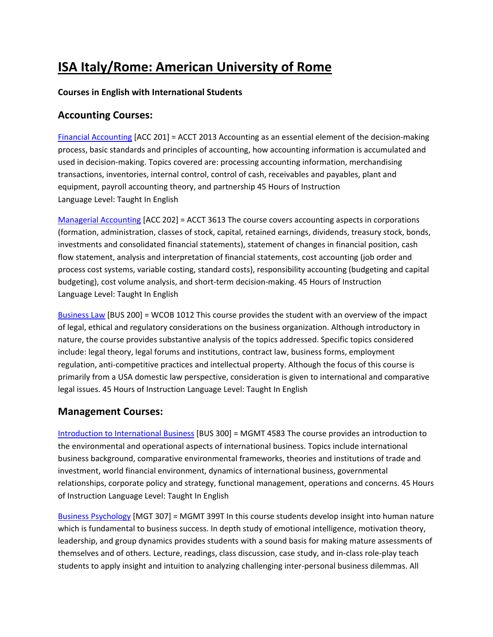# **ISA Italy/Rome: American University of Rome**

#### **Courses in English with International Students**

### **Accounting Courses:**

Financial Accounting [ACC 201] = ACCT 2013 Accounting as an essential element of the decision‐making process, basic standards and principles of accounting, how accounting information is accumulated and used in decision-making. Topics covered are: processing accounting information, merchandising transactions, inventories, internal control, control of cash, receivables and payables, plant and equipment, payroll accounting theory, and partnership 45 Hours of Instruction Language Level: Taught In English

Managerial Accounting [ACC 202] = ACCT 3613 The course covers accounting aspects in corporations (formation, administration, classes of stock, capital, retained earnings, dividends, treasury stock, bonds, investments and consolidated financial statements), statement of changes in financial position, cash flow statement, analysis and interpretation of financial statements, cost accounting (job order and process cost systems, variable costing, standard costs), responsibility accounting (budgeting and capital budgeting), cost volume analysis, and short‐term decision‐making. 45 Hours of Instruction Language Level: Taught In English

Business Law [BUS 200] = WCOB 1012 This course provides the student with an overview of the impact of legal, ethical and regulatory considerations on the business organization. Although introductory in nature, the course provides substantive analysis of the topics addressed. Specific topics considered include: legal theory, legal forums and institutions, contract law, business forms, employment regulation, anti‐competitive practices and intellectual property. Although the focus of this course is primarily from a USA domestic law perspective, consideration is given to international and comparative legal issues. 45 Hours of Instruction Language Level: Taught In English

#### **Management Courses:**

Introduction to International Business [BUS 300] = MGMT 4583 The course provides an introduction to the environmental and operational aspects of international business. Topics include international business background, comparative environmental frameworks, theories and institutions of trade and investment, world financial environment, dynamics of international business, governmental relationships, corporate policy and strategy, functional management, operations and concerns. 45 Hours of Instruction Language Level: Taught In English

Business Psychology [MGT 307] = MGMT 399T In this course students develop insight into human nature which is fundamental to business success. In depth study of emotional intelligence, motivation theory, leadership, and group dynamics provides students with a sound basis for making mature assessments of themselves and of others. Lecture, readings, class discussion, case study, and in‐class role‐play teach students to apply insight and intuition to analyzing challenging inter‐personal business dilemmas. All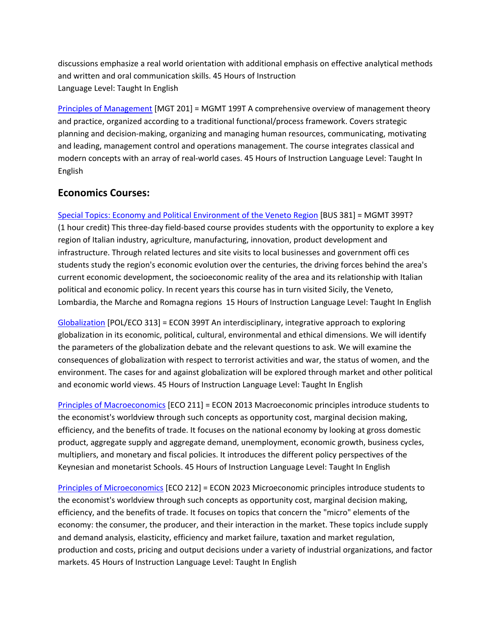discussions emphasize a real world orientation with additional emphasis on effective analytical methods and written and oral communication skills. 45 Hours of Instruction Language Level: Taught In English

Principles of Management [MGT 201] = MGMT 199T A comprehensive overview of management theory and practice, organized according to a traditional functional/process framework. Covers strategic planning and decision‐making, organizing and managing human resources, communicating, motivating and leading, management control and operations management. The course integrates classical and modern concepts with an array of real‐world cases. 45 Hours of Instruction Language Level: Taught In English

## **Economics Courses:**

Special Topics: Economy and Political Environment of the Veneto Region [BUS 381] = MGMT 399T? (1 hour credit) This three‐day field‐based course provides students with the opportunity to explore a key region of Italian industry, agriculture, manufacturing, innovation, product development and infrastructure. Through related lectures and site visits to local businesses and government offi ces students study the region's economic evolution over the centuries, the driving forces behind the area's current economic development, the socioeconomic reality of the area and its relationship with Italian political and economic policy. In recent years this course has in turn visited Sicily, the Veneto, Lombardia, the Marche and Romagna regions 15 Hours of Instruction Language Level: Taught In English

Globalization [POL/ECO 313] = ECON 399T An interdisciplinary, integrative approach to exploring globalization in its economic, political, cultural, environmental and ethical dimensions. We will identify the parameters of the globalization debate and the relevant questions to ask. We will examine the consequences of globalization with respect to terrorist activities and war, the status of women, and the environment. The cases for and against globalization will be explored through market and other political and economic world views. 45 Hours of Instruction Language Level: Taught In English

Principles of Macroeconomics [ECO 211] = ECON 2013 Macroeconomic principles introduce students to the economist's worldview through such concepts as opportunity cost, marginal decision making, efficiency, and the benefits of trade. It focuses on the national economy by looking at gross domestic product, aggregate supply and aggregate demand, unemployment, economic growth, business cycles, multipliers, and monetary and fiscal policies. It introduces the different policy perspectives of the Keynesian and monetarist Schools. 45 Hours of Instruction Language Level: Taught In English

Principles of Microeconomics [ECO 212] = ECON 2023 Microeconomic principles introduce students to the economist's worldview through such concepts as opportunity cost, marginal decision making, efficiency, and the benefits of trade. It focuses on topics that concern the "micro" elements of the economy: the consumer, the producer, and their interaction in the market. These topics include supply and demand analysis, elasticity, efficiency and market failure, taxation and market regulation, production and costs, pricing and output decisions under a variety of industrial organizations, and factor markets. 45 Hours of Instruction Language Level: Taught In English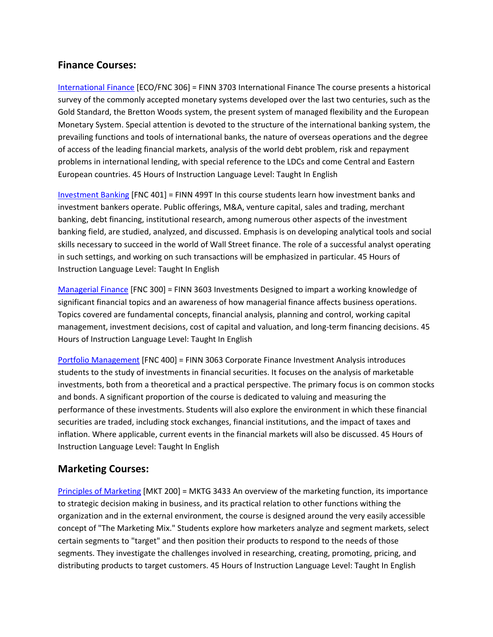## **Finance Courses:**

International Finance [ECO/FNC 306] = FINN 3703 International Finance The course presents a historical survey of the commonly accepted monetary systems developed over the last two centuries, such as the Gold Standard, the Bretton Woods system, the present system of managed flexibility and the European Monetary System. Special attention is devoted to the structure of the international banking system, the prevailing functions and tools of international banks, the nature of overseas operations and the degree of access of the leading financial markets, analysis of the world debt problem, risk and repayment problems in international lending, with special reference to the LDCs and come Central and Eastern European countries. 45 Hours of Instruction Language Level: Taught In English

Investment Banking [FNC 401] = FINN 499T In this course students learn how investment banks and investment bankers operate. Public offerings, M&A, venture capital, sales and trading, merchant banking, debt financing, institutional research, among numerous other aspects of the investment banking field, are studied, analyzed, and discussed. Emphasis is on developing analytical tools and social skills necessary to succeed in the world of Wall Street finance. The role of a successful analyst operating in such settings, and working on such transactions will be emphasized in particular. 45 Hours of Instruction Language Level: Taught In English

Managerial Finance [FNC 300] = FINN 3603 Investments Designed to impart a working knowledge of significant financial topics and an awareness of how managerial finance affects business operations. Topics covered are fundamental concepts, financial analysis, planning and control, working capital management, investment decisions, cost of capital and valuation, and long-term financing decisions. 45 Hours of Instruction Language Level: Taught In English

Portfolio Management [FNC 400] = FINN 3063 Corporate Finance Investment Analysis introduces students to the study of investments in financial securities. It focuses on the analysis of marketable investments, both from a theoretical and a practical perspective. The primary focus is on common stocks and bonds. A significant proportion of the course is dedicated to valuing and measuring the performance of these investments. Students will also explore the environment in which these financial securities are traded, including stock exchanges, financial institutions, and the impact of taxes and inflation. Where applicable, current events in the financial markets will also be discussed. 45 Hours of Instruction Language Level: Taught In English

## **Marketing Courses:**

Principles of Marketing [MKT 200] = MKTG 3433 An overview of the marketing function, its importance to strategic decision making in business, and its practical relation to other functions withing the organization and in the external environment, the course is designed around the very easily accessible concept of "The Marketing Mix." Students explore how marketers analyze and segment markets, select certain segments to "target" and then position their products to respond to the needs of those segments. They investigate the challenges involved in researching, creating, promoting, pricing, and distributing products to target customers. 45 Hours of Instruction Language Level: Taught In English